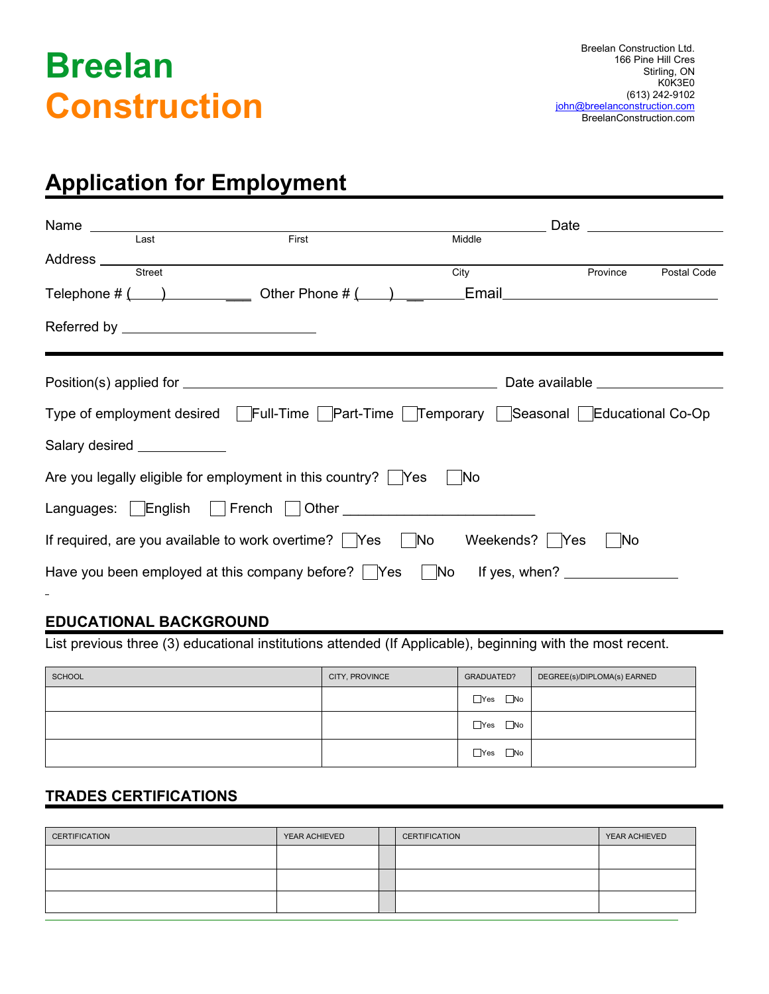# **Breelan Construction**

### **Application for Employment**

|                                                                                                             | First |                 |                                      |             |
|-------------------------------------------------------------------------------------------------------------|-------|-----------------|--------------------------------------|-------------|
| Last<br>Address ___________                                                                                 |       | Middle          |                                      |             |
| Street                                                                                                      |       | City            | Province                             | Postal Code |
| Telephone $\#\begin{pmatrix} 1 & 1 \end{pmatrix}$ Other Phone $\#\begin{pmatrix} 1 & 1 \end{pmatrix}$ Email |       |                 |                                      |             |
|                                                                                                             |       |                 |                                      |             |
|                                                                                                             |       |                 | Date available <b>Date of August</b> |             |
| Type of employment desired   Full-Time   Part-Time   Temporary   Seasonal   Educational Co-Op               |       |                 |                                      |             |
| Salary desired _____________                                                                                |       |                 |                                      |             |
| Are you legally eligible for employment in this country? $\vert$ Yes                                        |       | No              |                                      |             |
|                                                                                                             |       |                 |                                      |             |
| If required, are you available to work overtime? $\Box$ Yes $\Box$ No                                       |       | Weekends?   Yes | No                                   |             |
| Have you been employed at this company before?         Yes         No       f yes, when?                    |       |                 |                                      |             |

### **EDUCATIONAL BACKGROUND**

List previous three (3) educational institutions attended (If Applicable), beginning with the most recent.

| SCHOOL | CITY, PROVINCE | GRADUATED?                 | DEGREE(s)/DIPLOMA(s) EARNED |
|--------|----------------|----------------------------|-----------------------------|
|        |                | $\Box$ Yes<br>$\square$ No |                             |
|        |                | $\square$ No<br>$\Box$ Yes |                             |
|        |                | $\square$ No<br>$\Box$ Yes |                             |

#### **TRADES CERTIFICATIONS**

| CERTIFICATION | YEAR ACHIEVED | <b>CERTIFICATION</b> | YEAR ACHIEVED |
|---------------|---------------|----------------------|---------------|
|               |               |                      |               |
|               |               |                      |               |
|               |               |                      |               |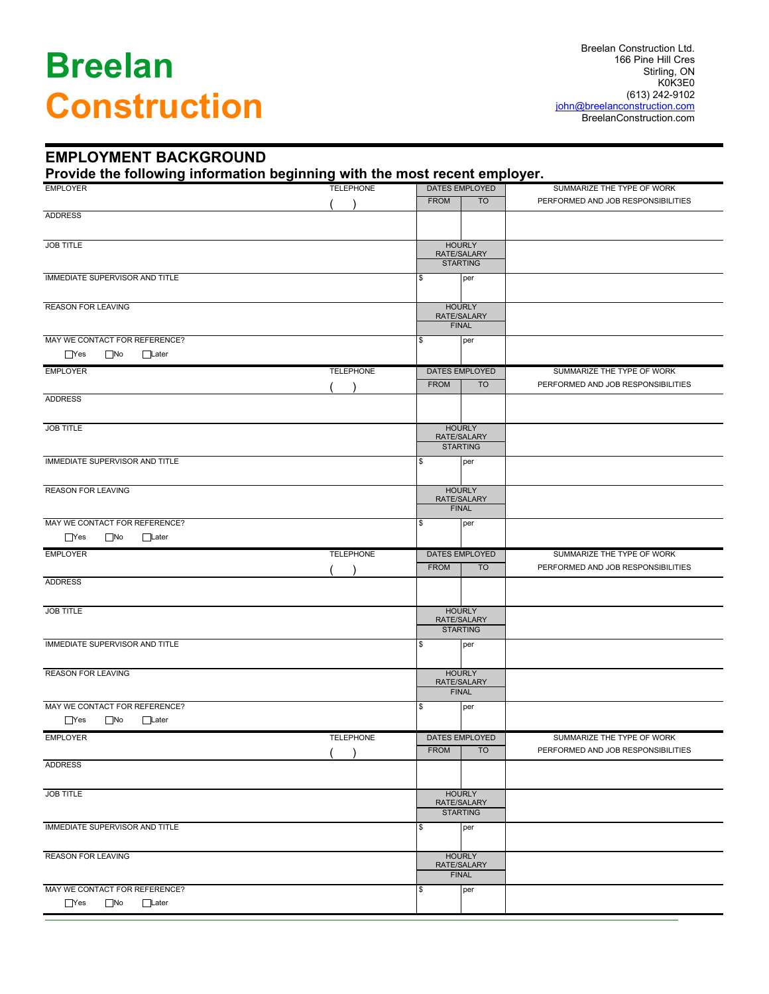# **Breelan Construction**

#### **EMPLOYMENT BACKGROUND**

**Provide the following information beginning with the most recent employer.**

| <b>EMPLOYER</b>                                                             | <b>TELEPHONE</b> | .<br><b>DATES EMPLOYED</b>   |           | SUMMARIZE THE TYPE OF WORK         |
|-----------------------------------------------------------------------------|------------------|------------------------------|-----------|------------------------------------|
|                                                                             |                  | <b>FROM</b>                  | <b>TO</b> | PERFORMED AND JOB RESPONSIBILITIES |
| <b>ADDRESS</b>                                                              |                  |                              |           |                                    |
|                                                                             |                  |                              |           |                                    |
| <b>JOB TITLE</b>                                                            |                  | <b>HOURLY</b>                |           |                                    |
|                                                                             |                  | RATE/SALARY                  |           |                                    |
|                                                                             |                  | <b>STARTING</b>              |           |                                    |
| IMMEDIATE SUPERVISOR AND TITLE                                              |                  | \$<br>per                    |           |                                    |
|                                                                             |                  |                              |           |                                    |
| <b>REASON FOR LEAVING</b>                                                   |                  | <b>HOURLY</b><br>RATE/SALARY |           |                                    |
|                                                                             |                  | <b>FINAL</b>                 |           |                                    |
| MAY WE CONTACT FOR REFERENCE?                                               |                  | per<br>S                     |           |                                    |
| $\Box$ Yes<br>$\square$ No<br>□Later                                        |                  |                              |           |                                    |
| <b>EMPLOYER</b>                                                             | <b>TELEPHONE</b> | DATES EMPLOYED               |           | SUMMARIZE THE TYPE OF WORK         |
|                                                                             |                  | <b>FROM</b>                  | <b>TO</b> | PERFORMED AND JOB RESPONSIBILITIES |
| <b>ADDRESS</b>                                                              |                  |                              |           |                                    |
|                                                                             |                  |                              |           |                                    |
| <b>JOB TITLE</b>                                                            |                  | <b>HOURLY</b>                |           |                                    |
|                                                                             |                  | RATE/SALARY                  |           |                                    |
|                                                                             |                  | <b>STARTING</b>              |           |                                    |
| <b>IMMEDIATE SUPERVISOR AND TITLE</b>                                       |                  | Ι\$                          | per       |                                    |
|                                                                             |                  |                              |           |                                    |
| <b>REASON FOR LEAVING</b>                                                   |                  | <b>HOURLY</b>                |           |                                    |
|                                                                             |                  | RATE/SALARY<br><b>FINAL</b>  |           |                                    |
| MAY WE CONTACT FOR REFERENCE?                                               |                  | \$                           | per       |                                    |
| $\Box$ Yes<br>$\Box$ No<br>$\Box$ Later                                     |                  |                              |           |                                    |
|                                                                             |                  |                              |           |                                    |
|                                                                             |                  |                              |           |                                    |
| <b>EMPLOYER</b>                                                             | <b>TELEPHONE</b> | DATES EMPLOYED               |           | SUMMARIZE THE TYPE OF WORK         |
|                                                                             |                  | <b>FROM</b>                  | <b>TO</b> | PERFORMED AND JOB RESPONSIBILITIES |
| <b>ADDRESS</b>                                                              |                  |                              |           |                                    |
|                                                                             |                  |                              |           |                                    |
| <b>JOB TITLE</b>                                                            |                  | <b>HOURLY</b><br>RATE/SALARY |           |                                    |
|                                                                             |                  | <b>STARTING</b>              |           |                                    |
| <b>IMMEDIATE SUPERVISOR AND TITLE</b>                                       |                  | Ι\$                          | per       |                                    |
|                                                                             |                  |                              |           |                                    |
| <b>REASON FOR LEAVING</b>                                                   |                  | <b>HOURLY</b>                |           |                                    |
|                                                                             |                  | RATE/SALARY<br><b>FINAL</b>  |           |                                    |
|                                                                             |                  | Ι\$                          |           |                                    |
| MAY WE CONTACT FOR REFERENCE?<br>$\Box$ Yes<br>$\square$ No<br>$\Box$ Later |                  |                              | per       |                                    |
|                                                                             |                  |                              |           |                                    |
| <b>EMPLOYER</b>                                                             | <b>TELEPHONE</b> | DATES EMPLOYED               |           | SUMMARIZE THE TYPE OF WORK         |
|                                                                             |                  | <b>FROM</b>                  | TO        | PERFORMED AND JOB RESPONSIBILITIES |
| <b>ADDRESS</b>                                                              |                  |                              |           |                                    |
|                                                                             |                  |                              |           |                                    |
| <b>JOB TITLE</b>                                                            |                  | <b>HOURLY</b><br>RATE/SALARY |           |                                    |
|                                                                             |                  | <b>STARTING</b>              |           |                                    |
| IMMEDIATE SUPERVISOR AND TITLE                                              |                  | \$<br>per                    |           |                                    |
|                                                                             |                  |                              |           |                                    |
| <b>REASON FOR LEAVING</b>                                                   |                  | <b>HOURLY</b>                |           |                                    |
|                                                                             |                  | RATE/SALARY<br><b>FINAL</b>  |           |                                    |
| MAY WE CONTACT FOR REFERENCE?                                               |                  | \$                           | per       |                                    |
| $\Box$ Yes<br>$\square$ No<br>$\Box$ Later                                  |                  |                              |           |                                    |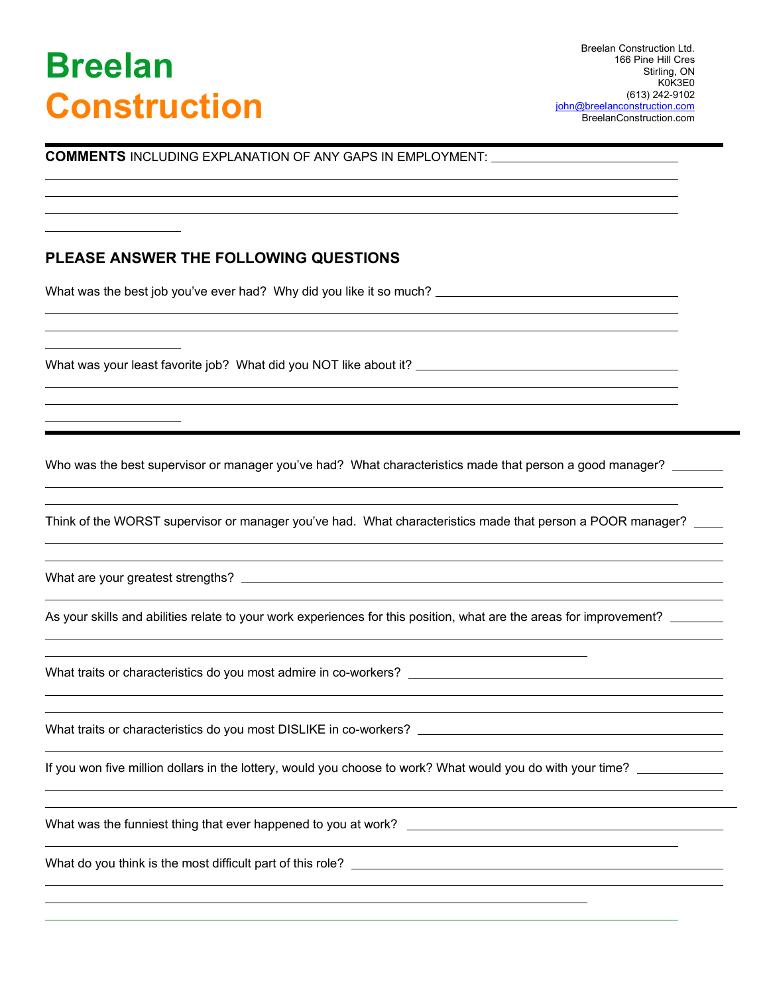# **Breelan Construction**

 $\overline{a}$  $\overline{a}$  $\overline{a}$  $\overline{a}$ 

 $\overline{a}$  $\overline{a}$  $\overline{a}$ 

 $\overline{a}$  $\overline{a}$  $\overline{a}$ 

 $\overline{a}$  $\overline{a}$ 

 $\overline{a}$  $\overline{a}$ 

 $\overline{a}$ 

 $\overline{a}$  $\overline{a}$ 

 $\overline{a}$  $\overline{a}$ 

 $\overline{a}$ 

 $\overline{a}$  $\overline{a}$ 

 $\overline{a}$ 

 $\overline{a}$  $\overline{a}$ 

**COMMENTS** INCLUDING EXPLANATION OF ANY GAPS IN EMPLOYMENT:

### **PLEASE ANSWER THE FOLLOWING QUESTIONS**

What was the best job you've ever had? Why did you like it so much?

What was your least favorite job? What did you NOT like about it?

Who was the best supervisor or manager you've had? What characteristics made that person a good manager?

Think of the WORST supervisor or manager you've had. What characteristics made that person a POOR manager?

What are your greatest strengths?

As your skills and abilities relate to your work experiences for this position, what are the areas for improvement?

What traits or characteristics do you most admire in co-workers?

What traits or characteristics do you most DISLIKE in co-workers?

If you won five million dollars in the lottery, would you choose to work? What would you do with your time?

What was the funniest thing that ever happened to you at work?

What do you think is the most difficult part of this role?